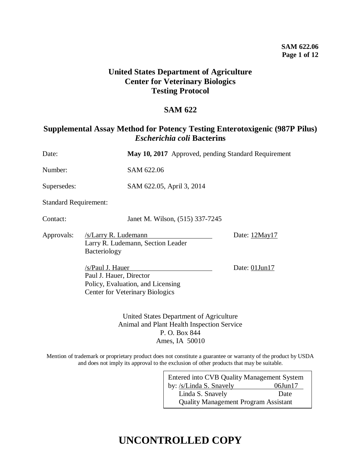## **United States Department of Agriculture Center for Veterinary Biologics Testing Protocol**

## **SAM 622**

## **Supplemental Assay Method for Potency Testing Enterotoxigenic (987P Pilus)**  *Escherichia coli* **Bacterins**

| Date:                        |                                             | May 10, 2017 Approved, pending Standard Requirement                                   |                     |
|------------------------------|---------------------------------------------|---------------------------------------------------------------------------------------|---------------------|
| Number:                      |                                             | SAM 622.06                                                                            |                     |
| Supersedes:                  |                                             | SAM 622.05, April 3, 2014                                                             |                     |
| <b>Standard Requirement:</b> |                                             |                                                                                       |                     |
| Contact:                     |                                             | Janet M. Wilson, (515) 337-7245                                                       |                     |
| Approvals:                   | /s/Larry R. Ludemann<br>Bacteriology        | Larry R. Ludemann, Section Leader                                                     | Date: 12May17       |
|                              | /s/Paul J. Hauer<br>Paul J. Hauer, Director | Policy, Evaluation, and Licensing<br><b>Center for Veterinary Biologics</b>           | Date: $01$ Jun $17$ |
|                              |                                             | United States Department of Agriculture<br>Animal and Plant Health Inspection Service |                     |

Animal and Plant Health Inspection Service P. O. Box 844 Ames, IA 50010

Mention of trademark or proprietary product does not constitute a guarantee or warranty of the product by USDA and does not imply its approval to the exclusion of other products that may be suitable.

| Entered into CVB Quality Management System  |               |  |  |
|---------------------------------------------|---------------|--|--|
| by: /s/Linda S. Snavely                     | $06$ Jun $17$ |  |  |
| Linda S. Snavely                            | Date          |  |  |
| <b>Quality Management Program Assistant</b> |               |  |  |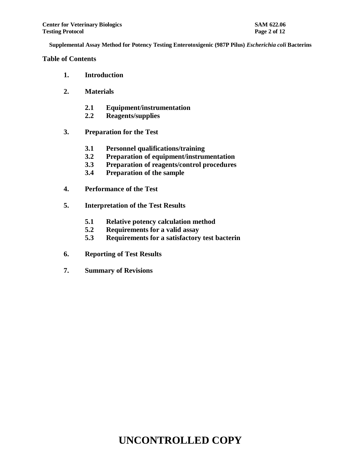**Table of Contents**

- **1. Introduction**
- **2. Materials**
	- **2.1 Equipment/instrumentation**
	- **2.2 Reagents/supplies**
- **3. Preparation for the Test**
	- **3.1 Personnel qualifications/training**
	- **3.2 Preparation of equipment/instrumentation**
	- **3.3 Preparation of reagents/control procedures**
	- **3.4 Preparation of the sample**
- **4. Performance of the Test**
- **5. Interpretation of the Test Results**
	- **5.1 Relative potency calculation method**
	- **5.2 Requirements for a valid assay**
	- **5.3 Requirements for a satisfactory test bacterin**
- **6. Reporting of Test Results**
- **7. Summary of Revisions**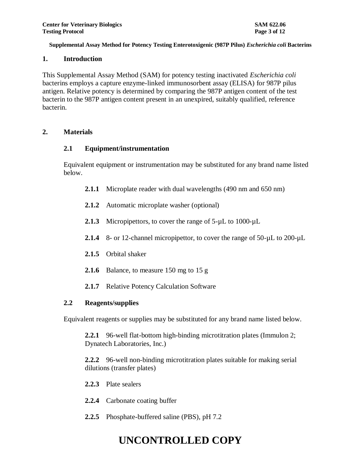### **1. Introduction**

This Supplemental Assay Method (SAM) for potency testing inactivated *Escherichia coli* bacterins employs a capture enzyme-linked immunosorbent assay (ELISA) for 987P pilus antigen. Relative potency is determined by comparing the 987P antigen content of the test bacterin to the 987P antigen content present in an unexpired, suitably qualified, reference bacterin.

### **2. Materials**

### **2.1 Equipment/instrumentation**

Equivalent equipment or instrumentation may be substituted for any brand name listed below.

- **2.1.1** Microplate reader with dual wavelengths (490 nm and 650 nm)
- **2.1.2** Automatic microplate washer (optional)
- 2.1.3 Micropipettors, to cover the range of 5- $\mu$ L to 1000- $\mu$ L
- **2.1.4** 8- or 12-channel micropipettor, to cover the range of 50-µL to 200-µL
- **2.1.5** Orbital shaker
- **2.1.6** Balance, to measure 150 mg to 15 g
- **2.1.7** Relative Potency Calculation Software

### **2.2 Reagents/supplies**

Equivalent reagents or supplies may be substituted for any brand name listed below.

**2.2.1** 96-well flat-bottom high-binding microtitration plates (Immulon 2; Dynatech Laboratories, Inc.)

**2.2.2** 96-well non-binding microtitration plates suitable for making serial dilutions (transfer plates)

- **2.2.3** Plate sealers
- **2.2.4** Carbonate coating buffer
- **2.2.5** Phosphate-buffered saline (PBS), pH 7.2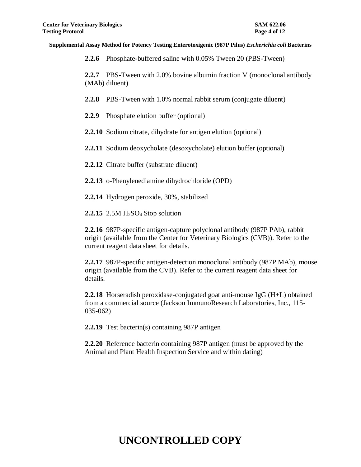**2.2.6** Phosphate-buffered saline with 0.05% Tween 20 (PBS-Tween)

**2.2.7** PBS-Tween with 2.0% bovine albumin fraction V (monoclonal antibody (MAb) diluent)

**2.2.8** PBS-Tween with 1.0% normal rabbit serum (conjugate diluent)

- **2.2.9** Phosphate elution buffer (optional)
- **2.2.10** Sodium citrate, dihydrate for antigen elution (optional)

**2.2.11** Sodium deoxycholate (desoxycholate) elution buffer (optional)

**2.2.12** Citrate buffer (substrate diluent)

- **2.2.13** o-Phenylenediamine dihydrochloride (OPD)
- **2.2.14** Hydrogen peroxide, 30%, stabilized

**2.2.15** 2.5M H2SO<sup>4</sup> Stop solution

**2.2.16** 987P-specific antigen-capture polyclonal antibody (987P PAb), rabbit origin (available from the Center for Veterinary Biologics (CVB)). Refer to the current reagent data sheet for details.

**2.2.17** 987P-specific antigen-detection monoclonal antibody (987P MAb), mouse origin (available from the CVB). Refer to the current reagent data sheet for details.

**2.2.18** Horseradish peroxidase-conjugated goat anti-mouse IgG (H+L) obtained from a commercial source (Jackson ImmunoResearch Laboratories, Inc., 115- 035-062)

**2.2.19** Test bacterin(s) containing 987P antigen

**2.2.20** Reference bacterin containing 987P antigen (must be approved by the Animal and Plant Health Inspection Service and within dating)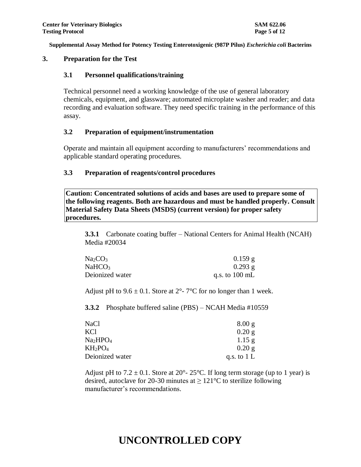### **3. Preparation for the Test**

#### **3.1 Personnel qualifications/training**

Technical personnel need a working knowledge of the use of general laboratory chemicals, equipment, and glassware; automated microplate washer and reader; and data recording and evaluation software. They need specific training in the performance of this assay.

#### **3.2 Preparation of equipment/instrumentation**

Operate and maintain all equipment according to manufacturers' recommendations and applicable standard operating procedures.

#### **3.3 Preparation of reagents/control procedures**

**Caution: Concentrated solutions of acids and bases are used to prepare some of the following reagents. Both are hazardous and must be handled properly. Consult Material Safety Data Sheets (MSDS) (current version) for proper safety procedures.**

**3.3.1** Carbonate coating buffer – National Centers for Animal Health (NCAH) Media #20034

| Na <sub>2</sub> CO <sub>3</sub> | $0.159$ g                |
|---------------------------------|--------------------------|
| <b>NaHCO3</b>                   | $0.293$ g                |
| Deionized water                 | q.s. to $100 \text{ mL}$ |

Adjust pH to  $9.6 \pm 0.1$ . Store at  $2^{\circ}$ -  $7^{\circ}$ C for no longer than 1 week.

**3.3.2** Phosphate buffered saline (PBS) – NCAH Media #10559

| NaCl            | 8.00 g        |
|-----------------|---------------|
| KCl             | 0.20 g        |
| Na2HPO4         | $1.15$ g      |
| $KH_2PO_4$      | 0.20 g        |
| Deionized water | q.s. to $1 L$ |

Adjust pH to  $7.2 \pm 0.1$ . Store at  $20^{\circ}$ -  $25^{\circ}$ C. If long term storage (up to 1 year) is desired, autoclave for 20-30 minutes at  $\geq 121^{\circ}$ C to sterilize following manufacturer's recommendations.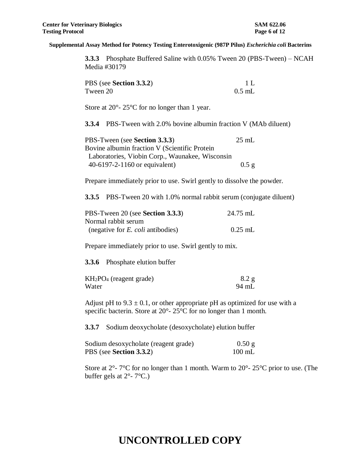**3.3.3** Phosphate Buffered Saline with 0.05% Tween 20 (PBS-Tween) – NCAH Media #30179

| PBS (see Section 3.3.2) | 1 L      |
|-------------------------|----------|
| Tween 20                | $0.5$ mL |

Store at 20<sup>o</sup>- 25<sup>o</sup>C for no longer than 1 year.

**3.3.4** PBS-Tween with 2.0% bovine albumin fraction V (MAb diluent)

| PBS-Tween (see Section 3.3.3)                   | $25 \text{ mL}$ |
|-------------------------------------------------|-----------------|
| Bovine albumin fraction V (Scientific Protein   |                 |
| Laboratories, Viobin Corp., Waunakee, Wisconsin |                 |
| 40-6197-2-1160 or equivalent)                   | $0.5$ g         |

Prepare immediately prior to use. Swirl gently to dissolve the powder.

**3.3.5** PBS-Tween 20 with 1.0% normal rabbit serum (conjugate diluent)

| PBS-Tween 20 (see Section 3.3.3)         | 24.75 mL  |
|------------------------------------------|-----------|
| Normal rabbit serum                      |           |
| (negative for <i>E. coli</i> antibodies) | $0.25$ mL |

Prepare immediately prior to use. Swirl gently to mix.

**3.3.6** Phosphate elution buffer

| $KH2PO4$ (reagent grade) | 8.2 g |
|--------------------------|-------|
| Water                    | 94 mL |

Adjust pH to  $9.3 \pm 0.1$ , or other appropriate pH as optimized for use with a specific bacterin. Store at 20°- 25°C for no longer than 1 month.

**3.3.7** Sodium deoxycholate (desoxycholate) elution buffer

| Sodium desoxycholate (reagent grade) | 0.50 g           |
|--------------------------------------|------------------|
| PBS (see Section 3.3.2)              | $100 \text{ mL}$ |

Store at  $2^{\circ}$ - 7°C for no longer than 1 month. Warm to  $20^{\circ}$ -  $25^{\circ}$ C prior to use. (The buffer gels at  $2^{\circ}$ - 7°C.)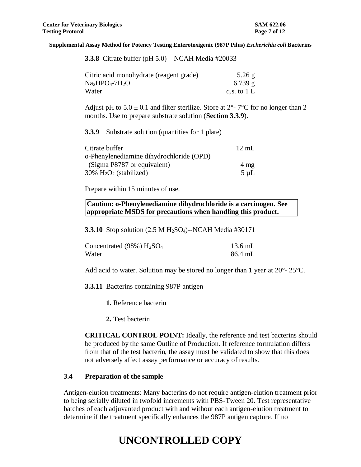|  |  | <b>3.3.8</b> Citrate buffer (pH $5.0$ ) – NCAH Media #20033 |  |
|--|--|-------------------------------------------------------------|--|
|  |  |                                                             |  |

| Citric acid monohydrate (reagent grade) | $5.26$ g      |
|-----------------------------------------|---------------|
| $Na2HPO4·7H2O$                          | $6.739$ g     |
| Water                                   | q.s. to $1 L$ |

Adjust pH to  $5.0 \pm 0.1$  and filter sterilize. Store at  $2^{\circ}$ -  $7^{\circ}$ C for no longer than 2 months. Use to prepare substrate solution (**Section 3.3.9**).

**3.3.9** Substrate solution (quantities for 1 plate)

| Citrate buffer                           | $12 \text{ mL}$ |
|------------------------------------------|-----------------|
| o-Phenylenediamine dihydrochloride (OPD) |                 |
| (Sigma P8787 or equivalent)              | $4 \text{ mg}$  |
| $30\%$ $H_2O_2$ (stabilized)             | $5 \mu L$       |

Prepare within 15 minutes of use.

**Caution: o-Phenylenediamine dihydrochloride is a carcinogen. See appropriate MSDS for precautions when handling this product.**

**3.3.10** Stop solution (2.5 M H<sub>2</sub>SO<sub>4</sub>)--NCAH Media #30171

| Concentrated $(98\%)$ $H2SO4$ | 13.6 mL |
|-------------------------------|---------|
| Water                         | 86.4 mL |

Add acid to water. Solution may be stored no longer than 1 year at 20<sup>o</sup>- 25<sup>o</sup>C.

**3.3.11** Bacterins containing 987P antigen

**1.** Reference bacterin

**2.** Test bacterin

**CRITICAL CONTROL POINT:** Ideally, the reference and test bacterins should be produced by the same Outline of Production. If reference formulation differs from that of the test bacterin, the assay must be validated to show that this does not adversely affect assay performance or accuracy of results.

#### **3.4 Preparation of the sample**

Antigen-elution treatments: Many bacterins do not require antigen-elution treatment prior to being serially diluted in twofold increments with PBS-Tween 20. Test representative batches of each adjuvanted product with and without each antigen-elution treatment to determine if the treatment specifically enhances the 987P antigen capture. If no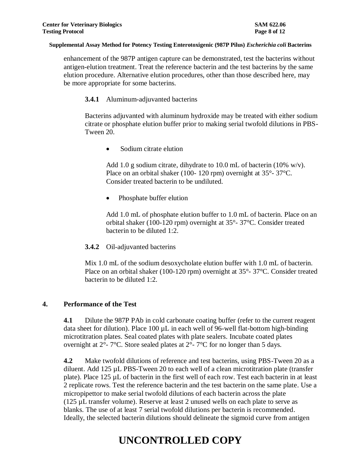enhancement of the 987P antigen capture can be demonstrated, test the bacterins without antigen-elution treatment. Treat the reference bacterin and the test bacterins by the same elution procedure. Alternative elution procedures, other than those described here, may be more appropriate for some bacterins.

### **3.4.1** Aluminum-adjuvanted bacterins

Bacterins adjuvanted with aluminum hydroxide may be treated with either sodium citrate or phosphate elution buffer prior to making serial twofold dilutions in PBS-Tween 20.

Sodium citrate elution

Add 1.0 g sodium citrate, dihydrate to 10.0 mL of bacterin (10% w/v). Place on an orbital shaker (100- 120 rpm) overnight at 35°- 37°C. Consider treated bacterin to be undiluted.

• Phosphate buffer elution

Add 1.0 mL of phosphate elution buffer to 1.0 mL of bacterin. Place on an orbital shaker (100-120 rpm) overnight at 35°- 37°C. Consider treated bacterin to be diluted 1:2.

### **3.4.2** Oil-adjuvanted bacterins

Mix 1.0 mL of the sodium desoxycholate elution buffer with 1.0 mL of bacterin. Place on an orbital shaker (100-120 rpm) overnight at 35°- 37°C. Consider treated bacterin to be diluted 1:2.

### **4. Performance of the Test**

**4.1** Dilute the 987P PAb in cold carbonate coating buffer (refer to the current reagent data sheet for dilution). Place 100  $\mu$ L in each well of 96-well flat-bottom high-binding microtitration plates. Seal coated plates with plate sealers. Incubate coated plates overnight at 2°- 7°C. Store sealed plates at 2°- 7°C for no longer than 5 days*.*

**4.2** Make twofold dilutions of reference and test bacterins, using PBS-Tween 20 as a diluent. Add 125 µL PBS-Tween 20 to each well of a clean microtitration plate (transfer plate). Place 125 µL of bacterin in the first well of each row. Test each bacterin in at least 2 replicate rows. Test the reference bacterin and the test bacterin on the same plate. Use a micropipettor to make serial twofold dilutions of each bacterin across the plate (125 µL transfer volume). Reserve at least 2 unused wells on each plate to serve as blanks. The use of at least 7 serial twofold dilutions per bacterin is recommended. Ideally, the selected bacterin dilutions should delineate the sigmoid curve from antigen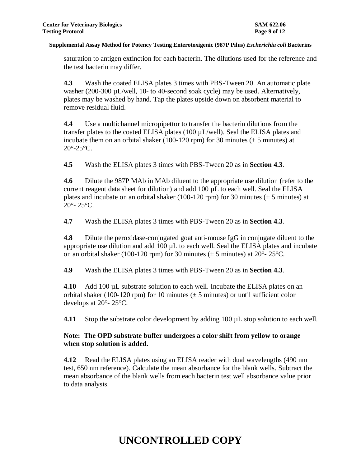saturation to antigen extinction for each bacterin. The dilutions used for the reference and the test bacterin may differ.

**4.3** Wash the coated ELISA plates 3 times with PBS-Tween 20. An automatic plate washer (200-300 µL/well, 10- to 40-second soak cycle) may be used. Alternatively, plates may be washed by hand. Tap the plates upside down on absorbent material to remove residual fluid.

**4.4** Use a multichannel micropipettor to transfer the bacterin dilutions from the transfer plates to the coated ELISA plates (100 µL/well). Seal the ELISA plates and incubate them on an orbital shaker (100-120 rpm) for 30 minutes ( $\pm$  5 minutes) at  $20^\circ$ - $25^\circ$ C.

**4.5** Wash the ELISA plates 3 times with PBS-Tween 20 as in **Section 4.3**.

**4.6** Dilute the 987P MAb in MAb diluent to the appropriate use dilution (refer to the current reagent data sheet for dilution) and add 100 µL to each well. Seal the ELISA plates and incubate on an orbital shaker (100-120 rpm) for 30 minutes ( $\pm$  5 minutes) at 20°- 25°C.

**4.7** Wash the ELISA plates 3 times with PBS-Tween 20 as in **Section 4.3**.

**4.8** Dilute the peroxidase-conjugated goat anti-mouse IgG in conjugate diluent to the appropriate use dilution and add 100 µL to each well. Seal the ELISA plates and incubate on an orbital shaker (100-120 rpm) for 30 minutes ( $\pm$  5 minutes) at 20°-25°C.

**4.9** Wash the ELISA plates 3 times with PBS-Tween 20 as in **Section 4.3**.

**4.10** Add 100 µL substrate solution to each well. Incubate the ELISA plates on an orbital shaker (100-120 rpm) for 10 minutes ( $\pm$  5 minutes) or until sufficient color develops at 20°- 25°C.

**4.11** Stop the substrate color development by adding 100 µL stop solution to each well.

## **Note: The OPD substrate buffer undergoes a color shift from yellow to orange when stop solution is added.**

**4.12** Read the ELISA plates using an ELISA reader with dual wavelengths (490 nm test, 650 nm reference). Calculate the mean absorbance for the blank wells. Subtract the mean absorbance of the blank wells from each bacterin test well absorbance value prior to data analysis.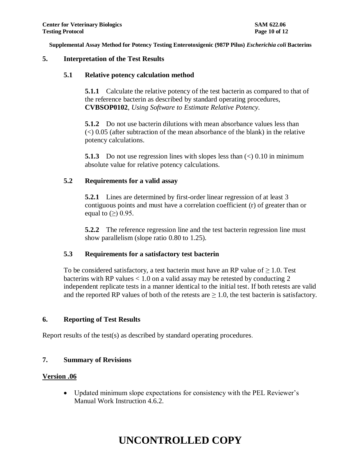### **5. Interpretation of the Test Results**

#### **5.1 Relative potency calculation method**

**5.1.1** Calculate the relative potency of the test bacterin as compared to that of the reference bacterin as described by standard operating procedures, **CVBSOP0102**, *Using Software to Estimate Relative Potency.*

**5.1.2** Do not use bacterin dilutions with mean absorbance values less than  $\ll$  0.05 (after subtraction of the mean absorbance of the blank) in the relative potency calculations.

**5.1.3** Do not use regression lines with slopes less than  $\langle \rangle$  0.10 in minimum absolute value for relative potency calculations.

#### **5.2 Requirements for a valid assay**

**5.2.1** Lines are determined by first-order linear regression of at least 3 contiguous points and must have a correlation coefficient (r) of greater than or equal to  $(\ge)$  0.95.

**5.2.2** The reference regression line and the test bacterin regression line must show parallelism (slope ratio 0.80 to 1.25).

### **5.3 Requirements for a satisfactory test bacterin**

To be considered satisfactory, a test bacterin must have an RP value of  $\geq 1.0$ . Test bacterins with RP values  $< 1.0$  on a valid assay may be retested by conducting 2 independent replicate tests in a manner identical to the initial test. If both retests are valid and the reported RP values of both of the retests are  $\geq 1.0$ , the test bacterin is satisfactory.

### **6. Reporting of Test Results**

Report results of the test(s) as described by standard operating procedures.

### **7. Summary of Revisions**

#### **Version .06**

 Updated minimum slope expectations for consistency with the PEL Reviewer's Manual Work Instruction 4.6.2.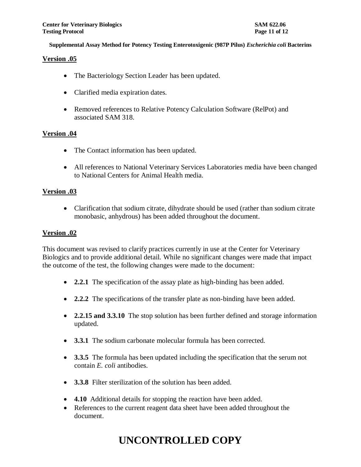#### **Version .05**

- The Bacteriology Section Leader has been updated.
- Clarified media expiration dates.
- Removed references to Relative Potency Calculation Software (RelPot) and associated SAM 318.

#### **Version .04**

- The Contact information has been updated.
- All references to National Veterinary Services Laboratories media have been changed to National Centers for Animal Health media.

#### **Version .03**

• Clarification that sodium citrate, dihydrate should be used (rather than sodium citrate monobasic, anhydrous) has been added throughout the document.

#### **Version .02**

This document was revised to clarify practices currently in use at the Center for Veterinary Biologics and to provide additional detail. While no significant changes were made that impact the outcome of the test, the following changes were made to the document:

- **2.2.1** The specification of the assay plate as high-binding has been added.
- **2.2.2** The specifications of the transfer plate as non-binding have been added.
- **2.2.15 and 3.3.10** The stop solution has been further defined and storage information updated.
- **3.3.1** The sodium carbonate molecular formula has been corrected.
- **3.3.5** The formula has been updated including the specification that the serum not contain *E. coli* antibodies.
- **3.3.8** Filter sterilization of the solution has been added.
- **4.10** Additional details for stopping the reaction have been added.
- References to the current reagent data sheet have been added throughout the document.